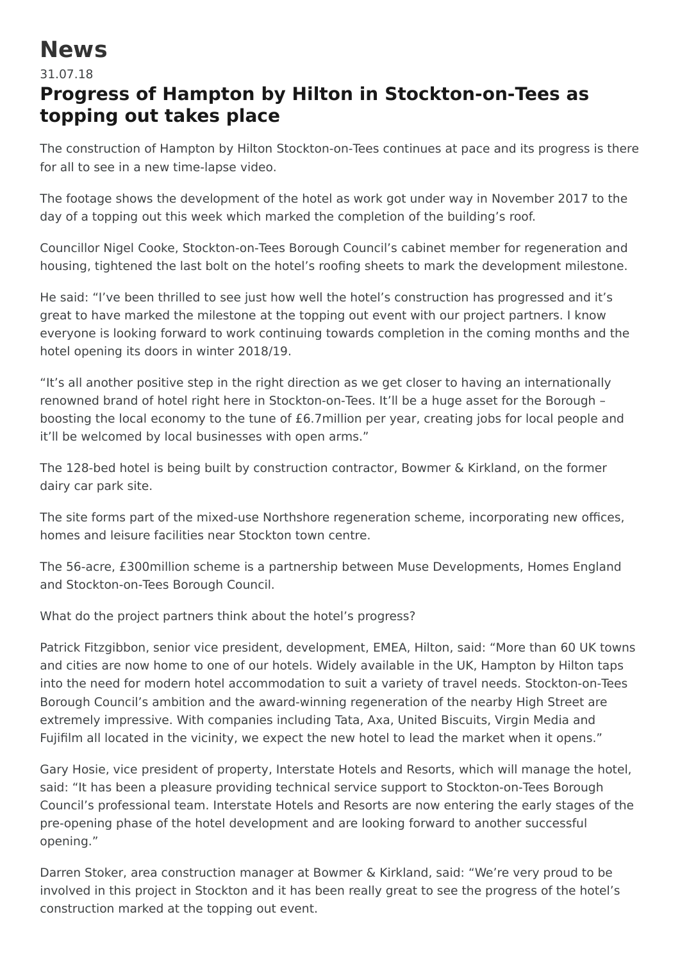## **News**

31.07.18

## **Progress of Hampton by Hilton in Stockton-on-Tees as topping out takes place**

The construction of Hampton by Hilton Stockton-on-Tees continues at pace and its progress is there for all to see in a new time-lapse video.

The footage shows the development of the hotel as work got under way in November 2017 to the day of a topping out this week which marked the completion of the building's roof.

Councillor Nigel Cooke, Stockton-on-Tees Borough Council's cabinet member for regeneration and housing, tightened the last bolt on the hotel's roofing sheets to mark the development milestone.

He said: "I've been thrilled to see just how well the hotel's construction has progressed and it's great to have marked the milestone at the topping out event with our project partners. I know everyone is looking forward to work continuing towards completion in the coming months and the hotel opening its doors in winter 2018/19.

"It's all another positive step in the right direction as we get closer to having an internationally renowned brand of hotel right here in Stockton-on-Tees. It'll be a huge asset for the Borough – boosting the local economy to the tune of £6.7million per year, creating jobs for local people and it'll be welcomed by local businesses with open arms."

The 128-bed hotel is being built by construction contractor, Bowmer & Kirkland, on the former dairy car park site.

The site forms part of the mixed-use Northshore regeneration scheme, incorporating new offices, homes and leisure facilities near Stockton town centre.

The 56-acre, £300million scheme is a partnership between Muse Developments, Homes England and Stockton-on-Tees Borough Council.

What do the project partners think about the hotel's progress?

Patrick Fitzgibbon, senior vice president, development, EMEA, Hilton, said: "More than 60 UK towns and cities are now home to one of our hotels. Widely available in the UK, Hampton by Hilton taps into the need for modern hotel accommodation to suit a variety of travel needs. Stockton-on-Tees Borough Council's ambition and the award-winning regeneration of the nearby High Street are extremely impressive. With companies including Tata, Axa, United Biscuits, Virgin Media and Fujifilm all located in the vicinity, we expect the new hotel to lead the market when it opens."

Gary Hosie, vice president of property, Interstate Hotels and Resorts, which will manage the hotel, said: "It has been a pleasure providing technical service support to Stockton-on-Tees Borough Council's professional team. Interstate Hotels and Resorts are now entering the early stages of the pre-opening phase of the hotel development and are looking forward to another successful opening."

Darren Stoker, area construction manager at Bowmer & Kirkland, said: "We're very proud to be involved in this project in Stockton and it has been really great to see the progress of the hotel's construction marked at the topping out event.